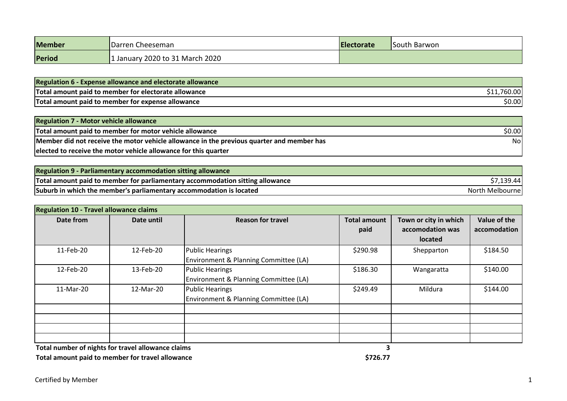| <b>Member</b> | IDarren Cheeseman               | <b>Electorate</b> | South Barwon |
|---------------|---------------------------------|-------------------|--------------|
| Period        | 1 January 2020 to 31 March 2020 |                   |              |

| <b>Regulation 6 - Expense allowance and electorate allowance</b> |        |
|------------------------------------------------------------------|--------|
| Total amount paid to member for electorate allowance             | 760.00 |
| Total amount paid to member for expense allowance                | \$0.00 |

| <b>Regulation 7 - Motor vehicle allowance</b>                                             |        |
|-------------------------------------------------------------------------------------------|--------|
| Total amount paid to member for motor vehicle allowance                                   | \$0.00 |
| Member did not receive the motor vehicle allowance in the previous quarter and member has | Nol    |
| elected to receive the motor vehicle allowance for this quarter                           |        |

| Regulation 9 - Parliamentary accommodation sitting allowance                  |                 |
|-------------------------------------------------------------------------------|-----------------|
| Total amount paid to member for parliamentary accommodation sitting allowance | \$7,139.44      |
| Suburb in which the member's parliamentary accommodation is located           | North Melbourne |

| <b>Regulation 10 - Travel allowance claims</b> |            |                                                                 |                             |                                                      |                              |  |
|------------------------------------------------|------------|-----------------------------------------------------------------|-----------------------------|------------------------------------------------------|------------------------------|--|
| Date from                                      | Date until | <b>Reason for travel</b>                                        | <b>Total amount</b><br>paid | Town or city in which<br>accomodation was<br>located | Value of the<br>accomodation |  |
| 11-Feb-20                                      | 12-Feb-20  | <b>Public Hearings</b><br>Environment & Planning Committee (LA) | \$290.98                    | Shepparton                                           | \$184.50                     |  |
| 12-Feb-20                                      | 13-Feb-20  | <b>Public Hearings</b><br>Environment & Planning Committee (LA) | \$186.30                    | Wangaratta                                           | \$140.00                     |  |
| 11-Mar-20                                      | 12-Mar-20  | <b>Public Hearings</b><br>Environment & Planning Committee (LA) | \$249.49                    | Mildura                                              | \$144.00                     |  |
|                                                |            |                                                                 |                             |                                                      |                              |  |
|                                                |            | . .                                                             |                             |                                                      |                              |  |

Total number of nights for travel allowance claims and the set of nights for travel allowance claims and the set of travel allowance claims of the set of the set of the set of the set of the set of the set of the set of th

**Total amount paid to member for travel allowance**